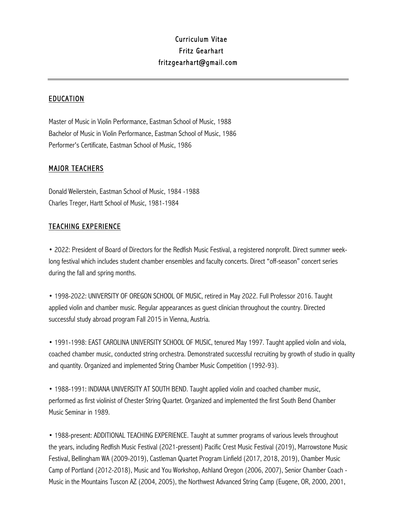## Curriculum Vitae Fritz Gearhart fritzgearhart@gmail.com

## EDUCATION

Master of Music in Violin Performance, Eastman School of Music, 1988 Bachelor of Music in Violin Performance, Eastman School of Music, 1986 Performer's Certificate, Eastman School of Music, 1986

## MAJOR TEACHERS

Donald Weilerstein, Eastman School of Music, 1984 -1988 Charles Treger, Hartt School of Music, 1981-1984

## TEACHING EXPERIENCE

• 2022: President of Board of Directors for the Redfish Music Festival, a registered nonprofit. Direct summer weeklong festival which includes student chamber ensembles and faculty concerts. Direct "off-season" concert series during the fall and spring months.

• 1998-2022: UNIVERSITY OF OREGON SCHOOL OF MUSIC, retired in May 2022. Full Professor 2016. Taught applied violin and chamber music. Regular appearances as guest clinician throughout the country. Directed successful study abroad program Fall 2015 in Vienna, Austria.

• 1991-1998: EAST CAROLINA UNIVERSITY SCHOOL OF MUSIC, tenured May 1997. Taught applied violin and viola, coached chamber music, conducted string orchestra. Demonstrated successful recruiting by growth of studio in quality and quantity. Organized and implemented String Chamber Music Competition (1992-93).

• 1988-1991: INDIANA UNIVERSITY AT SOUTH BEND. Taught applied violin and coached chamber music, performed as first violinist of Chester String Quartet. Organized and implemented the first South Bend Chamber Music Seminar in 1989.

• 1988-present: ADDITIONAL TEACHING EXPERIENCE. Taught at summer programs of various levels throughout the years, including Redfish Music Festival (2021-pressent) Pacific Crest Music Festival (2019), Marrowstone Music Festival, Bellingham WA (2009-2019), Castleman Quartet Program Linfield (2017, 2018, 2019), Chamber Music Camp of Portland (2012-2018), Music and You Workshop, Ashland Oregon (2006, 2007), Senior Chamber Coach - Music in the Mountains Tuscon AZ (2004, 2005), the Northwest Advanced String Camp (Eugene, OR, 2000, 2001,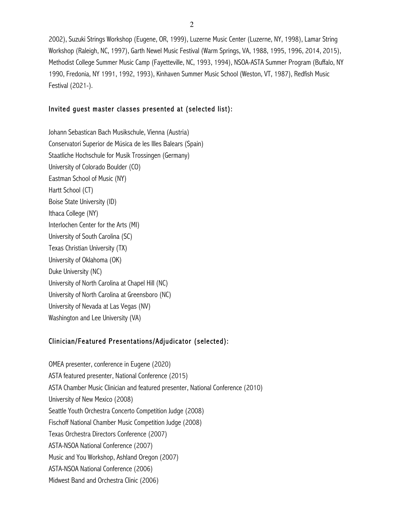2002), Suzuki Strings Workshop (Eugene, OR, 1999), Luzerne Music Center (Luzerne, NY, 1998), Lamar String Workshop (Raleigh, NC, 1997), Garth Newel Music Festival (Warm Springs, VA, 1988, 1995, 1996, 2014, 2015), Methodist College Summer Music Camp (Fayetteville, NC, 1993, 1994), NSOA-ASTA Summer Program (Buffalo, NY 1990, Fredonia, NY 1991, 1992, 1993), Kinhaven Summer Music School (Weston, VT, 1987), Redfish Music Festival (2021-).

### Invited guest master classes presented at (selected list):

Johann Sebastican Bach Musikschule, Vienna (Austria) Conservatori Superior de Música de les Illes Balears (Spain) Staatliche Hochschule for Musik Trossingen (Germany) University of Colorado Boulder (CO) Eastman School of Music (NY) Hartt School (CT) Boise State University (ID) Ithaca College (NY) Interlochen Center for the Arts (MI) University of South Carolina (SC) Texas Christian University (TX) University of Oklahoma (OK) Duke University (NC) University of North Carolina at Chapel Hill (NC) University of North Carolina at Greensboro (NC) University of Nevada at Las Vegas (NV) Washington and Lee University (VA)

## Clinician/Featured Presentations/Adjudicator (selected):

OMEA presenter, conference in Eugene (2020) ASTA featured presenter, National Conference (2015) ASTA Chamber Music Clinician and featured presenter, National Conference (2010) University of New Mexico (2008) Seattle Youth Orchestra Concerto Competition Judge (2008) Fischoff National Chamber Music Competition Judge (2008) Texas Orchestra Directors Conference (2007) ASTA-NSOA National Conference (2007) Music and You Workshop, Ashland Oregon (2007) ASTA-NSOA National Conference (2006) Midwest Band and Orchestra Clinic (2006)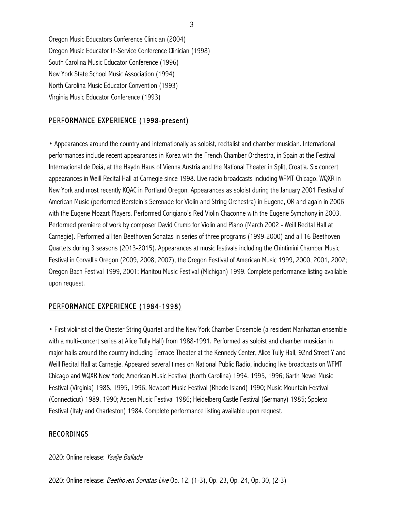Oregon Music Educators Conference Clinician (2004) Oregon Music Educator In-Service Conference Clinician (1998) South Carolina Music Educator Conference (1996) New York State School Music Association (1994) North Carolina Music Educator Convention (1993) Virginia Music Educator Conference (1993)

## PERFORMANCE EXPERIENCE (1998-present)

• Appearances around the country and internationally as soloist, recitalist and chamber musician. International performances include recent appearances in Korea with the French Chamber Orchestra, in Spain at the Festival Internacional de Deiá, at the Haydn Haus of Vienna Austria and the National Theater in Split, Croatia. Six concert appearances in Weill Recital Hall at Carnegie since 1998. Live radio broadcasts including WFMT Chicago, WQXR in New York and most recently KQAC in Portland Oregon. Appearances as soloist during the January 2001 Festival of American Music (performed Berstein's Serenade for Violin and String Orchestra) in Eugene, OR and again in 2006 with the Eugene Mozart Players. Performed Corigiano's Red Violin Chaconne with the Eugene Symphony in 2003. Performed premiere of work by composer David Crumb for Violin and Piano (March 2002 - Weill Recital Hall at Carnegie). Performed all ten Beethoven Sonatas in series of three programs (1999-2000) and all 16 Beethoven Quartets during 3 seasons (2013-2015). Appearances at music festivals including the Chintimini Chamber Music Festival in Corvallis Oregon (2009, 2008, 2007), the Oregon Festival of American Music 1999, 2000, 2001, 2002; Oregon Bach Festival 1999, 2001; Manitou Music Festival (Michigan) 1999. Complete performance listing available upon request.

#### PERFORMANCE EXPERIENCE (1984-1998)

• First violinist of the Chester String Quartet and the New York Chamber Ensemble (a resident Manhattan ensemble with a multi-concert series at Alice Tully Hall) from 1988-1991. Performed as soloist and chamber musician in major halls around the country including Terrace Theater at the Kennedy Center, Alice Tully Hall, 92nd Street Y and Weill Recital Hall at Carnegie. Appeared several times on National Public Radio, including live broadcasts on WFMT Chicago and WQXR New York; American Music Festival (North Carolina) 1994, 1995, 1996; Garth Newel Music Festival (Virginia) 1988, 1995, 1996; Newport Music Festival (Rhode Island) 1990; Music Mountain Festival (Connecticut) 1989, 1990; Aspen Music Festival 1986; Heidelberg Castle Festival (Germany) 1985; Spoleto Festival (Italy and Charleston) 1984. Complete performance listing available upon request.

#### RECORDINGS

#### 2020: Online release: Ysaye Ballade

2020: Online release: Beethoven Sonatas Live Op. 12, (1-3), Op. 23, Op. 24, Op. 30, (2-3)

3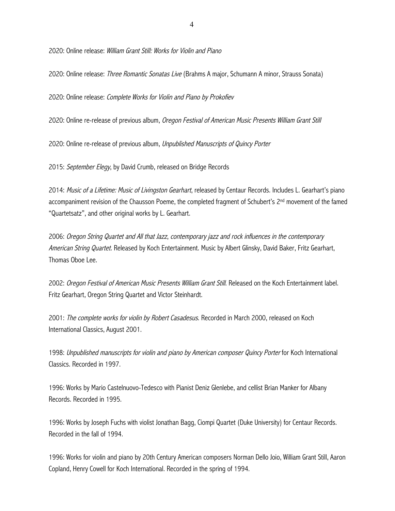2020: Online release: William Grant Still: Works for Violin and Piano

2020: Online release: Three Romantic Sonatas Live (Brahms A major, Schumann A minor, Strauss Sonata)

2020: Online release: Complete Works for Violin and Piano by Prokofiev

2020: Online re-release of previous album, Oregon Festival of American Music Presents William Grant Still

2020: Online re-release of previous album, Unpublished Manuscripts of Quincy Porter

2015: September Elegy, by David Crumb, released on Bridge Records

2014: Music of a Lifetime: Music of Livingston Gearhart, released by Centaur Records. Includes L. Gearhart's piano accompaniment revision of the Chausson Poeme, the completed fragment of Schubert's 2<sup>nd</sup> movement of the famed "Quartetsatz", and other original works by L. Gearhart.

2006: Oregon String Quartet and All that Jazz, contemporary jazz and rock influences in the contemporary American String Quartet. Released by Koch Entertainment. Music by Albert Glinsky, David Baker, Fritz Gearhart, Thomas Oboe Lee.

2002: Oregon Festival of American Music Presents William Grant Still. Released on the Koch Entertainment label. Fritz Gearhart, Oregon String Quartet and Victor Steinhardt.

2001: The complete works for violin by Robert Casadesus. Recorded in March 2000, released on Koch International Classics, August 2001.

1998: Unpublished manuscripts for violin and piano by American composer Quincy Porter for Koch International Classics. Recorded in 1997.

1996: Works by Mario Castelnuovo-Tedesco with Pianist Deniz Glenlebe, and cellist Brian Manker for Albany Records. Recorded in 1995.

1996: Works by Joseph Fuchs with violist Jonathan Bagg, Ciompi Quartet (Duke University) for Centaur Records. Recorded in the fall of 1994.

1996: Works for violin and piano by 20th Century American composers Norman Dello Joio, William Grant Still, Aaron Copland, Henry Cowell for Koch International. Recorded in the spring of 1994.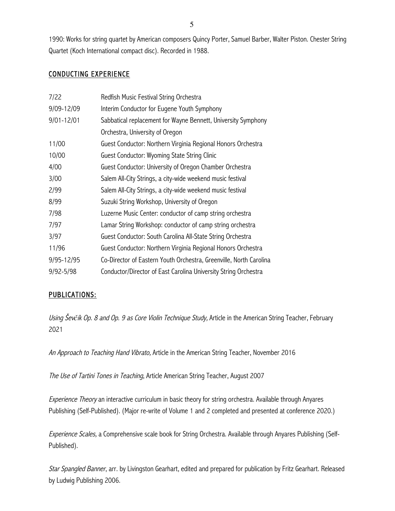1990: Works for string quartet by American composers Quincy Porter, Samuel Barber, Walter Piston. Chester String Quartet (Koch International compact disc). Recorded in 1988.

## CONDUCTING EXPERIENCE

| 7/22       | Redfish Music Festival String Orchestra                            |
|------------|--------------------------------------------------------------------|
| 9/09-12/09 | Interim Conductor for Eugene Youth Symphony                        |
| 9/01-12/01 | Sabbatical replacement for Wayne Bennett, University Symphony      |
|            | Orchestra, University of Oregon                                    |
| 11/00      | Guest Conductor: Northern Virginia Regional Honors Orchestra       |
| 10/00      | Guest Conductor: Wyoming State String Clinic                       |
| 4/00       | Guest Conductor: University of Oregon Chamber Orchestra            |
| 3/00       | Salem All-City Strings, a city-wide weekend music festival         |
| 2/99       | Salem All-City Strings, a city-wide weekend music festival         |
| 8/99       | Suzuki String Workshop, University of Oregon                       |
| 7/98       | Luzerne Music Center: conductor of camp string orchestra           |
| 7/97       | Lamar String Workshop: conductor of camp string orchestra          |
| 3/97       | Guest Conductor: South Carolina All-State String Orchestra         |
| 11/96      | Guest Conductor: Northern Virginia Regional Honors Orchestra       |
| 9/95-12/95 | Co-Director of Eastern Youth Orchestra, Greenville, North Carolina |
| 9/92-5/98  | Conductor/Director of East Carolina University String Orchestra    |

## PUBLICATIONS:

Using Šev*č*ík Op. 8 and Op. 9 as Core Violin Technique Study, Article in the American String Teacher, February 2021

An Approach to Teaching Hand Vibrato, Article in the American String Teacher, November 2016

The Use of Tartini Tones in Teaching, Article American String Teacher, August 2007

Experience Theory an interactive curriculum in basic theory for string orchestra. Available through Anyares Publishing (Self-Published). (Major re-write of Volume 1 and 2 completed and presented at conference 2020.)

Experience Scales, a Comprehensive scale book for String Orchestra. Available through Anyares Publishing (Self-Published).

Star Spangled Banner, arr. by Livingston Gearhart, edited and prepared for publication by Fritz Gearhart. Released by Ludwig Publishing 2006.